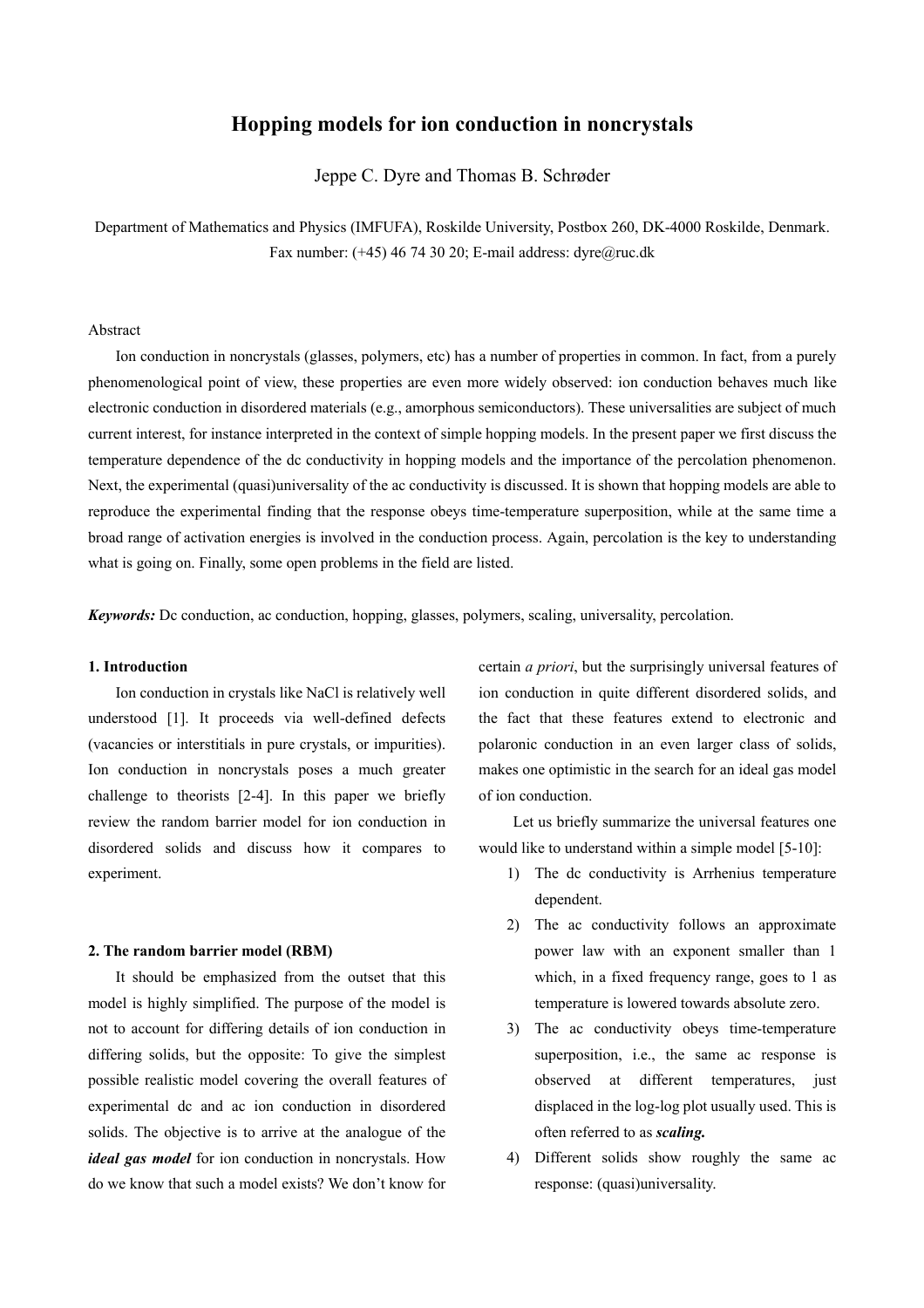# **Hopping models for ion conduction in noncrystals**

Jeppe C. Dyre and Thomas B. Schrøder

Department of Mathematics and Physics (IMFUFA), Roskilde University, Postbox 260, DK-4000 Roskilde, Denmark. Fax number: (+45) 46 74 30 20; E-mail address: dyre@ruc.dk

## Abstract

Ion conduction in noncrystals (glasses, polymers, etc) has a number of properties in common. In fact, from a purely phenomenological point of view, these properties are even more widely observed: ion conduction behaves much like electronic conduction in disordered materials (e.g., amorphous semiconductors). These universalities are subject of much current interest, for instance interpreted in the context of simple hopping models. In the present paper we first discuss the temperature dependence of the dc conductivity in hopping models and the importance of the percolation phenomenon. Next, the experimental (quasi)universality of the ac conductivity is discussed. It is shown that hopping models are able to reproduce the experimental finding that the response obeys time-temperature superposition, while at the same time a broad range of activation energies is involved in the conduction process. Again, percolation is the key to understanding what is going on. Finally, some open problems in the field are listed.

*Keywords:* Dc conduction, ac conduction, hopping, glasses, polymers, scaling, universality, percolation.

#### **1. Introduction**

 Ion conduction in crystals like NaCl is relatively well understood [1]. It proceeds via well-defined defects (vacancies or interstitials in pure crystals, or impurities). Ion conduction in noncrystals poses a much greater challenge to theorists [2-4]. In this paper we briefly review the random barrier model for ion conduction in disordered solids and discuss how it compares to experiment.

### **2. The random barrier model (RBM)**

 It should be emphasized from the outset that this model is highly simplified. The purpose of the model is not to account for differing details of ion conduction in differing solids, but the opposite: To give the simplest possible realistic model covering the overall features of experimental dc and ac ion conduction in disordered solids. The objective is to arrive at the analogue of the *ideal gas model* for ion conduction in noncrystals. How do we know that such a model exists? We don't know for

certain *a priori*, but the surprisingly universal features of ion conduction in quite different disordered solids, and the fact that these features extend to electronic and polaronic conduction in an even larger class of solids, makes one optimistic in the search for an ideal gas model of ion conduction.

 Let us briefly summarize the universal features one would like to understand within a simple model [5-10]:

- 1) The dc conductivity is Arrhenius temperature dependent.
- 2) The ac conductivity follows an approximate power law with an exponent smaller than 1 which, in a fixed frequency range, goes to 1 as temperature is lowered towards absolute zero.
- 3) The ac conductivity obeys time-temperature superposition, i.e., the same ac response is observed at different temperatures, just displaced in the log-log plot usually used. This is often referred to as *scaling.*
- 4) Different solids show roughly the same ac response: (quasi)universality.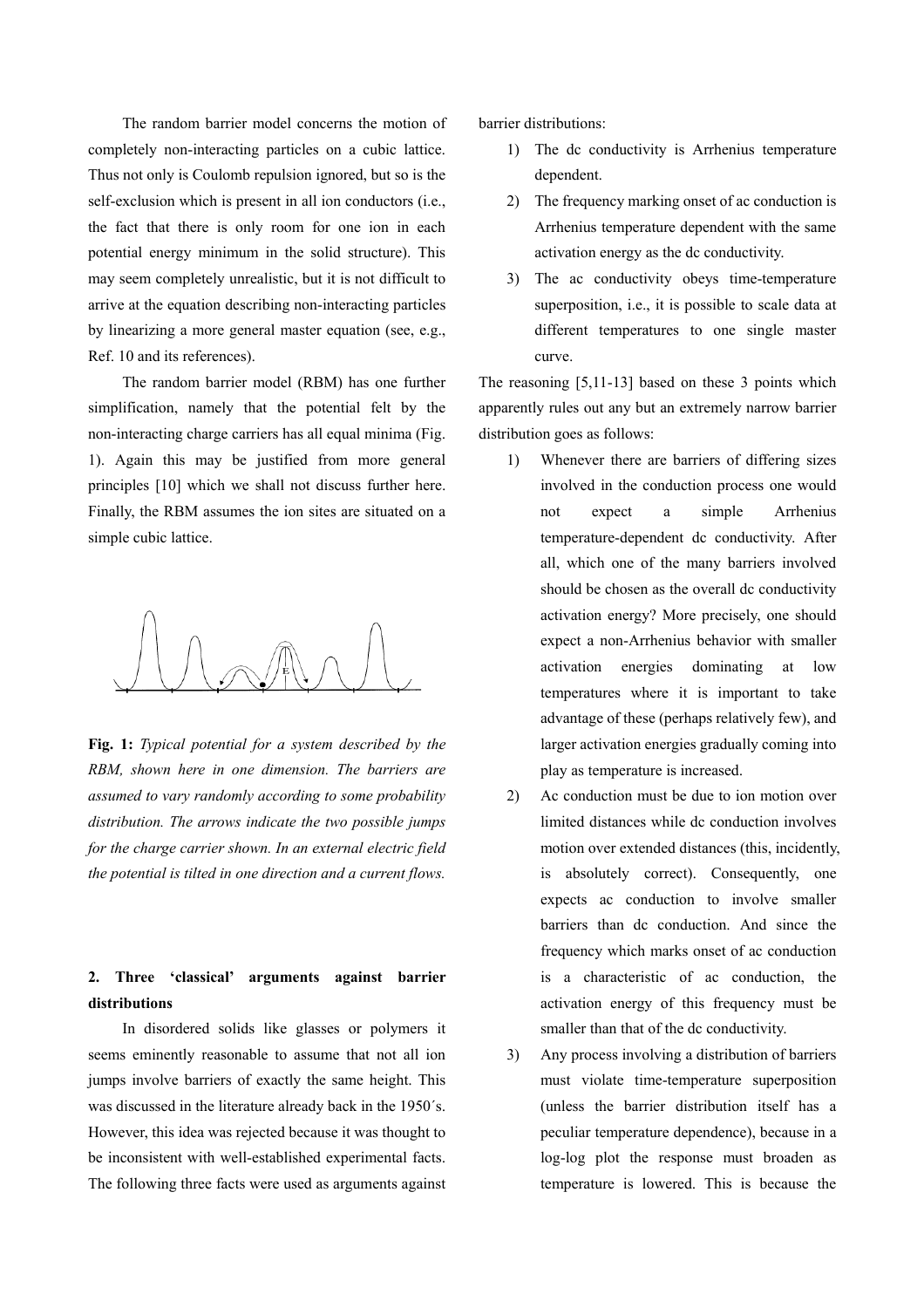The random barrier model concerns the motion of completely non-interacting particles on a cubic lattice. Thus not only is Coulomb repulsion ignored, but so is the self-exclusion which is present in all ion conductors (i.e., the fact that there is only room for one ion in each potential energy minimum in the solid structure). This may seem completely unrealistic, but it is not difficult to arrive at the equation describing non-interacting particles by linearizing a more general master equation (see, e.g., Ref. 10 and its references).

The random barrier model (RBM) has one further simplification, namely that the potential felt by the non-interacting charge carriers has all equal minima (Fig. 1). Again this may be justified from more general principles [10] which we shall not discuss further here. Finally, the RBM assumes the ion sites are situated on a simple cubic lattice.

**Fig. 1:** *Typical potential for a system described by the RBM, shown here in one dimension. The barriers are assumed to vary randomly according to some probability distribution. The arrows indicate the two possible jumps for the charge carrier shown. In an external electric field the potential is tilted in one direction and a current flows.* 

# **2. Three 'classical' arguments against barrier distributions**

 In disordered solids like glasses or polymers it seems eminently reasonable to assume that not all ion jumps involve barriers of exactly the same height. This was discussed in the literature already back in the 1950´s. However, this idea was rejected because it was thought to be inconsistent with well-established experimental facts. The following three facts were used as arguments against barrier distributions:

- 1) The dc conductivity is Arrhenius temperature dependent.
- 2) The frequency marking onset of ac conduction is Arrhenius temperature dependent with the same activation energy as the dc conductivity.
- 3) The ac conductivity obeys time-temperature superposition, i.e., it is possible to scale data at different temperatures to one single master curve.

The reasoning [5,11-13] based on these 3 points which apparently rules out any but an extremely narrow barrier distribution goes as follows:

- 1) Whenever there are barriers of differing sizes involved in the conduction process one would not expect a simple Arrhenius temperature-dependent dc conductivity. After all, which one of the many barriers involved should be chosen as the overall dc conductivity activation energy? More precisely, one should expect a non-Arrhenius behavior with smaller activation energies dominating at low temperatures where it is important to take advantage of these (perhaps relatively few), and larger activation energies gradually coming into play as temperature is increased.
- 2) Ac conduction must be due to ion motion over limited distances while dc conduction involves motion over extended distances (this, incidently, is absolutely correct). Consequently, one expects ac conduction to involve smaller barriers than dc conduction. And since the frequency which marks onset of ac conduction is a characteristic of ac conduction, the activation energy of this frequency must be smaller than that of the dc conductivity.
- 3) Any process involving a distribution of barriers must violate time-temperature superposition (unless the barrier distribution itself has a peculiar temperature dependence), because in a log-log plot the response must broaden as temperature is lowered. This is because the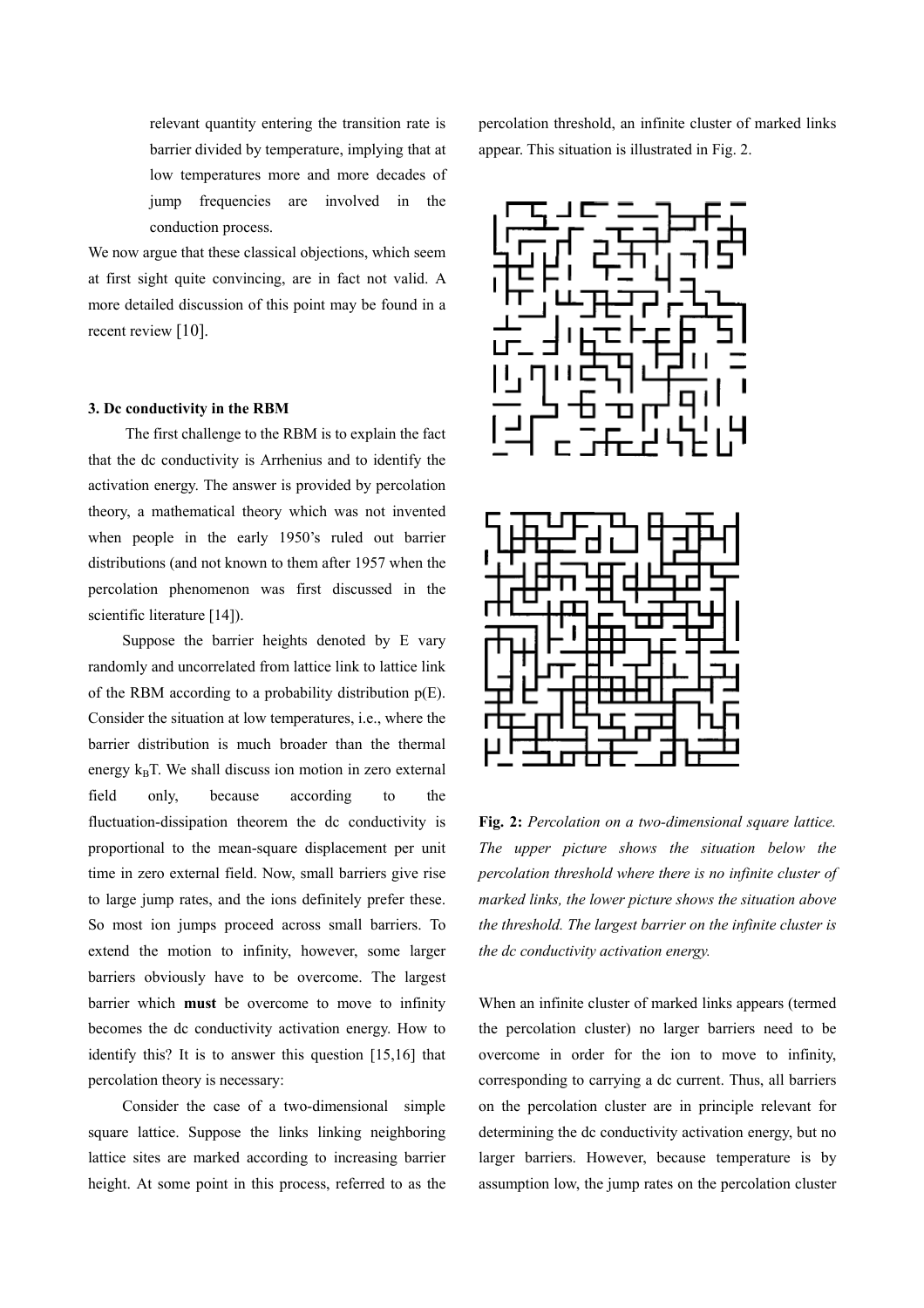relevant quantity entering the transition rate is barrier divided by temperature, implying that at low temperatures more and more decades of jump frequencies are involved in the conduction process.

We now argue that these classical objections, which seem at first sight quite convincing, are in fact not valid. A more detailed discussion of this point may be found in a recent review [10].

#### **3. Dc conductivity in the RBM**

The first challenge to the RBM is to explain the fact that the dc conductivity is Arrhenius and to identify the activation energy. The answer is provided by percolation theory, a mathematical theory which was not invented when people in the early 1950's ruled out barrier distributions (and not known to them after 1957 when the percolation phenomenon was first discussed in the scientific literature [14]).

Suppose the barrier heights denoted by E vary randomly and uncorrelated from lattice link to lattice link of the RBM according to a probability distribution p(E). Consider the situation at low temperatures, i.e., where the barrier distribution is much broader than the thermal energy  $k_B T$ . We shall discuss ion motion in zero external field only, because according to the fluctuation-dissipation theorem the dc conductivity is proportional to the mean-square displacement per unit time in zero external field. Now, small barriers give rise to large jump rates, and the ions definitely prefer these. So most ion jumps proceed across small barriers. To extend the motion to infinity, however, some larger barriers obviously have to be overcome. The largest barrier which **must** be overcome to move to infinity becomes the dc conductivity activation energy. How to identify this? It is to answer this question [15,16] that percolation theory is necessary:

 Consider the case of a two-dimensional simple square lattice. Suppose the links linking neighboring lattice sites are marked according to increasing barrier height. At some point in this process, referred to as the

percolation threshold, an infinite cluster of marked links appear. This situation is illustrated in Fig. 2.





**Fig. 2:** *Percolation on a two-dimensional square lattice. The upper picture shows the situation below the percolation threshold where there is no infinite cluster of marked links, the lower picture shows the situation above the threshold. The largest barrier on the infinite cluster is the dc conductivity activation energy.* 

When an infinite cluster of marked links appears (termed the percolation cluster) no larger barriers need to be overcome in order for the ion to move to infinity, corresponding to carrying a dc current. Thus, all barriers on the percolation cluster are in principle relevant for determining the dc conductivity activation energy, but no larger barriers. However, because temperature is by assumption low, the jump rates on the percolation cluster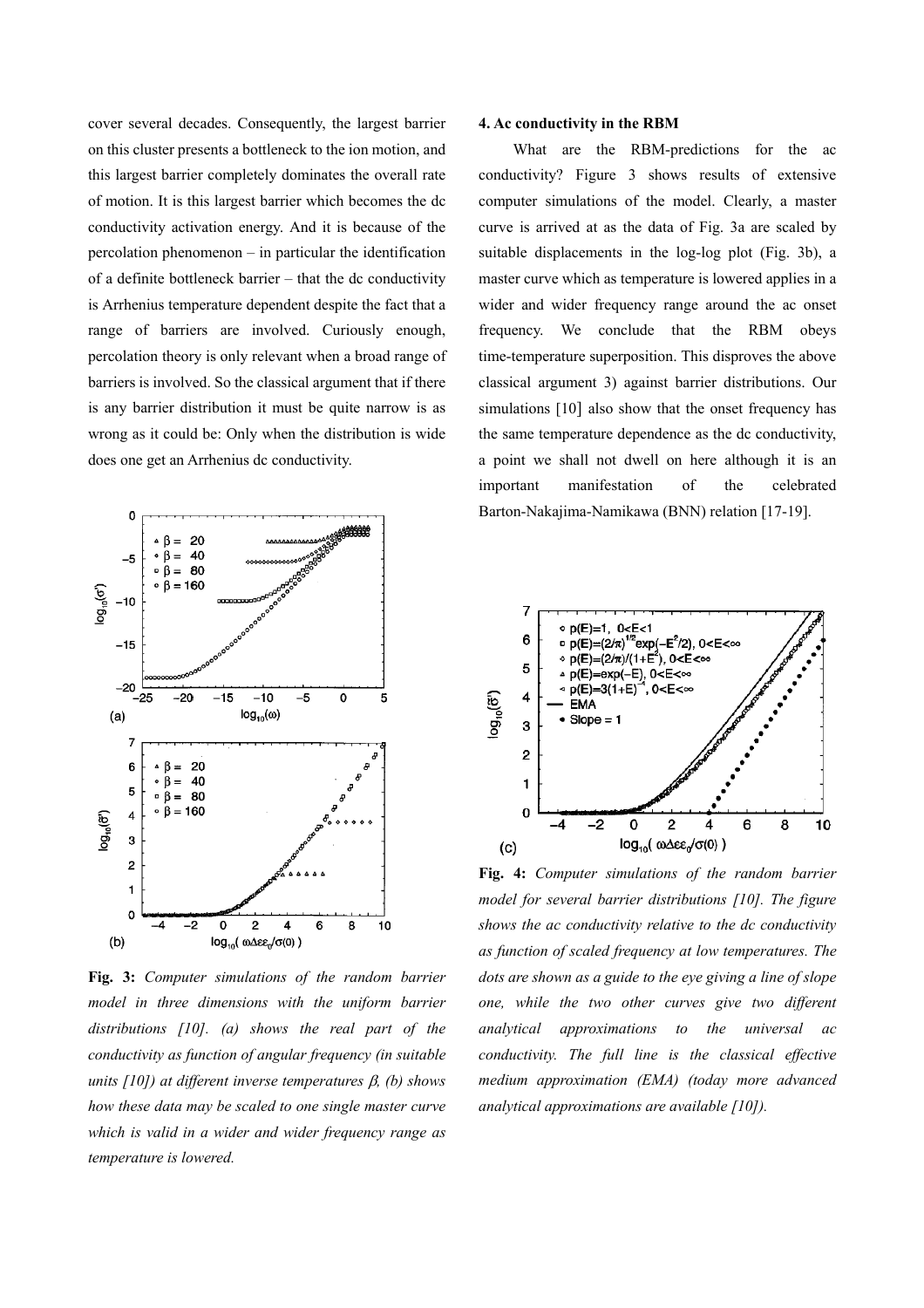cover several decades. Consequently, the largest barrier **4. Ac conductivity in the RBM** on this cluster presents a bottleneck to the ion motion, and this largest barrier completely dominates the overall rate of motion. It is this largest barrier which becomes the dc conductivity activation energy. And it is because of the percolation phenomenon – in particular the identification of a definite bottleneck barrier – that the dc conductivity is Arrhenius temperature dependent despite the fact that a range of barriers are involved. Curiously enough, percolation theory is only relevant when a broad range of barriers is involved. So the classical argument that if there is any barrier distribution it must be quite narrow is as wrong as it could be: Only when the distribution is wide does one get an Arrhenius dc conductivity.



**Fig. 3:** *Computer simulations of the random barrier model in three dimensions with the uniform barrier distributions [10]. (a) shows the real part of the conductivity as function of angular frequency (in suitable units [10]) at different inverse temperatures* β*, (b) shows how these data may be scaled to one single master curve which is valid in a wider and wider frequency range as temperature is lowered.* 

What are the RBM-predictions for the ac conductivity? Figure 3 shows results of extensive computer simulations of the model. Clearly, a master curve is arrived at as the data of Fig. 3a are scaled by suitable displacements in the log-log plot (Fig. 3b), a master curve which as temperature is lowered applies in a wider and wider frequency range around the ac onset frequency. We conclude that the RBM obeys time-temperature superposition. This disproves the above classical argument 3) against barrier distributions. Our simulations [10] also show that the onset frequency has the same temperature dependence as the dc conductivity, a point we shall not dwell on here although it is an important manifestation of the celebrated Barton-Nakajima-Namikawa (BNN) relation [17-19].



**Fig. 4:** *Computer simulations of the random barrier model for several barrier distributions [10]. The figure shows the ac conductivity relative to the dc conductivity as function of scaled frequency at low temperatures. The dots are shown as a guide to the eye giving a line of slope one, while the two other curves give two different analytical approximations to the universal ac conductivity. The full line is the classical effective medium approximation (EMA) (today more advanced analytical approximations are available [10]).*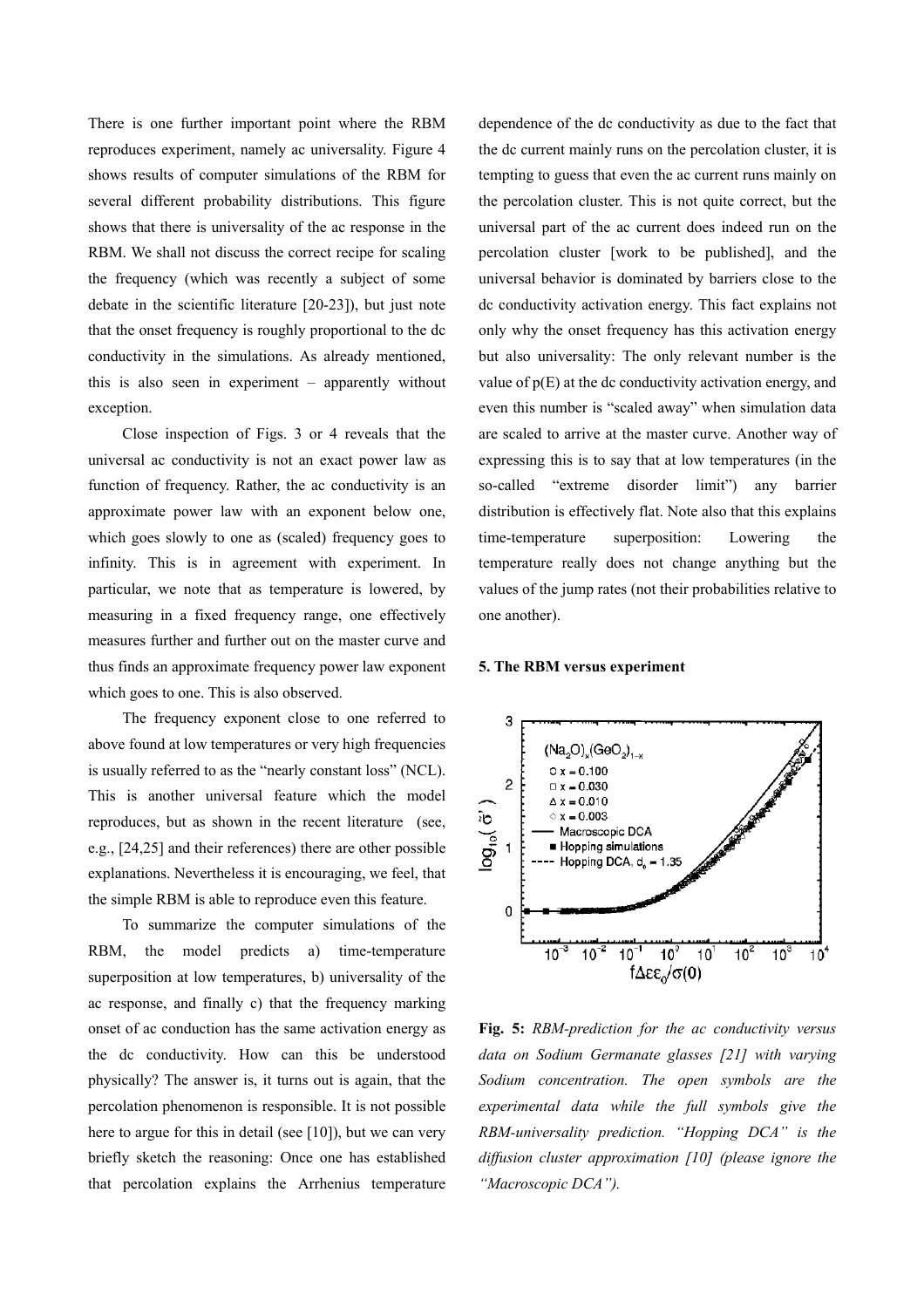There is one further important point where the RBM reproduces experiment, namely ac universality. Figure 4 shows results of computer simulations of the RBM for several different probability distributions. This figure shows that there is universality of the ac response in the RBM. We shall not discuss the correct recipe for scaling the frequency (which was recently a subject of some debate in the scientific literature [20-23]), but just note that the onset frequency is roughly proportional to the dc conductivity in the simulations. As already mentioned, this is also seen in experiment – apparently without exception.

Close inspection of Figs. 3 or 4 reveals that the universal ac conductivity is not an exact power law as function of frequency. Rather, the ac conductivity is an approximate power law with an exponent below one, which goes slowly to one as (scaled) frequency goes to infinity. This is in agreement with experiment. In particular, we note that as temperature is lowered, by measuring in a fixed frequency range, one effectively measures further and further out on the master curve and thus finds an approximate frequency power law exponent which goes to one. This is also observed.

The frequency exponent close to one referred to above found at low temperatures or very high frequencies is usually referred to as the "nearly constant loss" (NCL). This is another universal feature which the model reproduces, but as shown in the recent literature (see, e.g., [24,25] and their references) there are other possible explanations. Nevertheless it is encouraging, we feel, that the simple RBM is able to reproduce even this feature.

To summarize the computer simulations of the RBM, the model predicts a) time-temperature superposition at low temperatures, b) universality of the ac response, and finally c) that the frequency marking onset of ac conduction has the same activation energy as the dc conductivity. How can this be understood physically? The answer is, it turns out is again, that the percolation phenomenon is responsible. It is not possible here to argue for this in detail (see [10]), but we can very briefly sketch the reasoning: Once one has established that percolation explains the Arrhenius temperature

dependence of the dc conductivity as due to the fact that the dc current mainly runs on the percolation cluster, it is tempting to guess that even the ac current runs mainly on the percolation cluster. This is not quite correct, but the universal part of the ac current does indeed run on the percolation cluster [work to be published], and the universal behavior is dominated by barriers close to the dc conductivity activation energy. This fact explains not only why the onset frequency has this activation energy but also universality: The only relevant number is the value of  $p(E)$  at the dc conductivity activation energy, and even this number is "scaled away" when simulation data are scaled to arrive at the master curve. Another way of expressing this is to say that at low temperatures (in the so-called "extreme disorder limit") any barrier distribution is effectively flat. Note also that this explains time-temperature superposition: Lowering the temperature really does not change anything but the values of the jump rates (not their probabilities relative to one another).

#### **5. The RBM versus experiment**



**Fig. 5:** *RBM-prediction for the ac conductivity versus data on Sodium Germanate glasses [21] with varying Sodium concentration. The open symbols are the experimental data while the full symbols give the RBM-universality prediction. "Hopping DCA" is the diffusion cluster approximation [10] (please ignore the "Macroscopic DCA").*